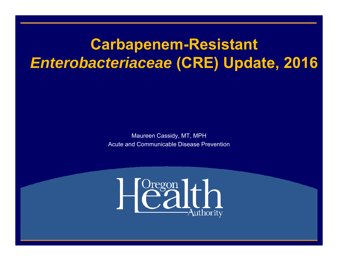### **Carbapenem-Resistant**  *Enterobacteriaceae* **(CRE) Update, 2016**

Maureen Cassidy, MT, MPH Acute and Communicable Disease Prevention

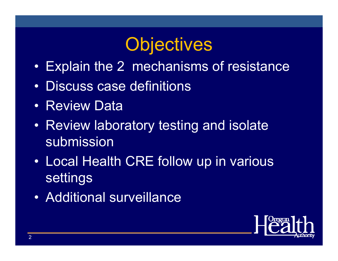# **Objectives**

- •Explain the 2 mechanisms of resistance
- •Discuss case definitions
- Review Data
- Review laboratory testing and isolate submission
- • Local Health CRE follow up in various settings
- Additional surveillance

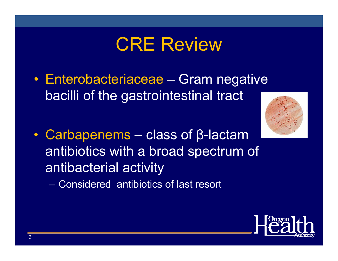# CRE Review

- Enterobacteriaceae Gram negative bacilli of the gastrointestinal tract
	-

• Carbapenems – class of β-lactam antibiotics with a broad spectrum of antibacterial activity

– Considered antibiotics of last resort

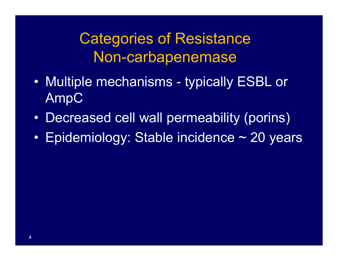### Categories of Resistance Non-carbapenemase

- • Multiple mechanisms - typically ESBL or AmpC
- $\bullet$ Decreased cell wall permeability (porins)
- $\bullet$ Epidemiology: Stable incidence ~ 20 years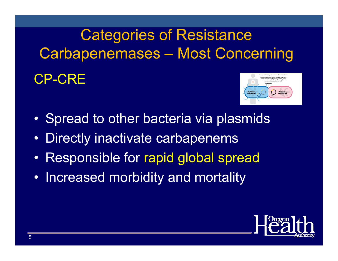# Categories of Resistance Carbapenemases – Most Concerning

#### CP-CRE



- •Spread to other bacteria via plasmids
- •Directly inactivate carbapenems
- •Responsible for rapid global spread
- Increased morbidity and mortality

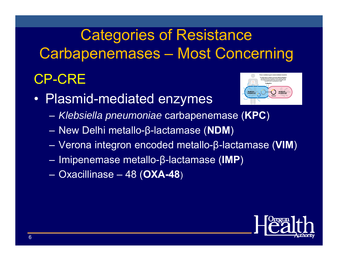# Categories of Resistance Carbapenemases – Most Concerning

#### CP-CRE

• Plasmid-mediated enzymes



- *Klebsiella pneumoniae* carbapenemase (**KPC** )
- New Delhi metallo-β-lactamase (**NDM** )
- Verona integron encoded metallo-β-lactamase (**VIM** )
- Imipenemase metallo-β-lactamase (**IMP** )
- Oxacillinase 48 (**OXA-48** )

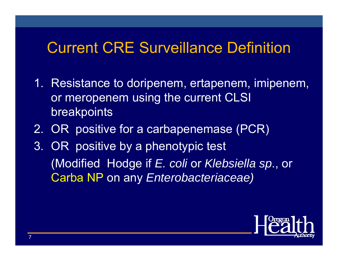### Current CRE Surveillance Definition

- 1. Resistance to doripenem, ertapenem, imipenem, or meropenem using the current CLSI breakpoints
- 2. OR positive for a carbapenemase (PCR)
- 3. OR positive by a phenotypic test (Modified Hodge if *E. coli* or *Klebsiella sp*., or Carba NP on any *Enterobacteriaceae)*

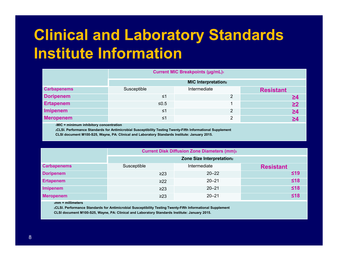## **Clinical and Laboratory Standards Institute Information**

|                    |                                        | <b>Current MIC Breakpoints (µg/mL)</b> |                  |  |  |  |  |
|--------------------|----------------------------------------|----------------------------------------|------------------|--|--|--|--|
|                    | <b>MIC Interpretation</b> <sub>2</sub> |                                        |                  |  |  |  |  |
| <b>Carbapenems</b> | Susceptible                            | Intermediate                           | <b>Resistant</b> |  |  |  |  |
| <b>Doripenem</b>   | ≤1                                     | 2                                      | ≧4               |  |  |  |  |
| <b>Ertapenem</b>   | $≤0.5$                                 |                                        | $\geq$ 2         |  |  |  |  |
| <b>Imipenem</b>    | ≤1                                     | 2                                      | $\geq 4$         |  |  |  |  |
| <b>Meropenem</b>   | ≤1                                     | $\overline{2}$                         | ≥4               |  |  |  |  |

**1MIC = minimum inhibitory concentration**

**2CLSI. Performance Standards for Antimicrobial Susceptibility Testing Twenty-Fifth Informational Supplement CLSI document M100-S25, Wayne, PA: Clinical and Laboratory Standards Institute: January 2015.**

|                    | <b>Current Disk Diffusion Zone Diameters (mm)3</b> |              |                  |  |  |  |  |
|--------------------|----------------------------------------------------|--------------|------------------|--|--|--|--|
|                    | Zone Size Interpretation <sub>2</sub>              |              |                  |  |  |  |  |
| <b>Carbapenems</b> | Susceptible                                        | Intermediate | <b>Resistant</b> |  |  |  |  |
| <b>Doripenem</b>   | $\geq$ 23                                          | $20 - 22$    | $\leq 19$        |  |  |  |  |
| <b>Ertapenem</b>   | $\geq$ 22                                          | $20 - 21$    | $≤18$            |  |  |  |  |
| <b>Imipenem</b>    | $\geq$ 23                                          | $20 - 21$    | ≤18              |  |  |  |  |
| <b>Meropenem</b>   | $\geq$ 23                                          | $20 - 21$    | ≤18              |  |  |  |  |

**3mm = millimeters**

**2CLSI. Performance Standards for Antimicrobial Susceptibility Testing Twenty-Fifth Informational Supplement**

**CLSI document M100-S25, Wayne, PA: Clinical and Laboratory Standards Institute: January 2015.**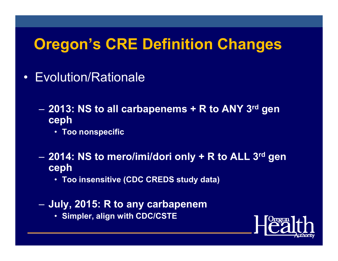### **Oregon's CRE Definition Changes**

- Evolution/Rationale
	- $\mathcal{L}_{\mathcal{A}}$  **2013: NS to all carbapenems + R to ANY 3rd gen ceph**
		- **Too nonspecific**
	- $\mathcal{L}_{\mathcal{A}}$  **2014: NS to mero/imi/dori only + R to ALL 3rd gen ceph**
		- **Too insensitive (CDC CREDS study data)**
	- $\mathcal{L}_{\mathcal{A}}$  **July, 2015: R to any carbapenem** 
		- **Simpler, align with CDC/CSTE**

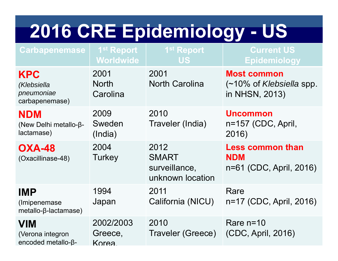# **2016 CRE Epidemiology - US**

| <b>Carbapenemase</b>                                           | 1 <sup>st</sup> Report<br>Worldwide | 1 <sup>st</sup> Report<br><b>US</b>                       | <b>Current US</b><br><b>Epidemiology</b>                                     |
|----------------------------------------------------------------|-------------------------------------|-----------------------------------------------------------|------------------------------------------------------------------------------|
| <b>KPC</b><br>(Klebsiella<br>pneumoniae<br>carbapenemase)      | 2001<br><b>North</b><br>Carolina    | 2001<br><b>North Carolina</b>                             | <b>Most common</b><br>$(-10\% \text{ of Klebsiella spp.})$<br>in NHSN, 2013) |
| <b>NDM</b><br>(New Delhi metallo-β-<br>lactamase)              | 2009<br>Sweden<br>(India)           | 2010<br>Traveler (India)                                  | <b>Uncommon</b><br>n=157 (CDC, April,<br>2016)                               |
| <b>OXA-48</b><br>(Oxacillinase-48)                             | 2004<br>Turkey                      | 2012<br><b>SMART</b><br>surveillance,<br>unknown location | <b>Less common than</b><br><b>NDM</b><br>n=61 (CDC, April, 2016)             |
| <b>IMP</b><br>(Imipenemase)<br>$metallo$ - $\beta$ -lactamase) | 1994<br>Japan                       | 2011<br>California (NICU)                                 | Rare<br>n=17 (CDC, April, 2016)                                              |
| <b>VIM</b><br>(Verona integron<br>encoded metallo-β-           | 2002/2003<br>Greece,<br>Korea.      | 2010<br>Traveler (Greece)                                 | Rare $n=10$<br>(CDC, April, 2016)                                            |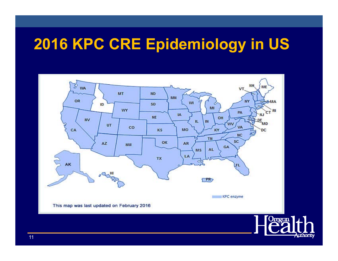### **2016 KPC CRE Epidemiology in US**



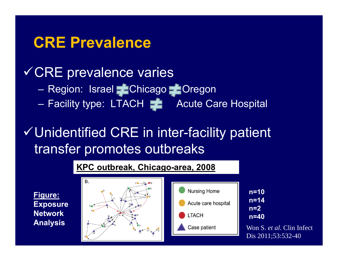#### **CRE Prevalence**

#### CRE prevalence varies

- Region: Israel Chicago Coregon
- Facility type: LTACH **Acute Care Hospital**

### Unidentified CRE in inter-facility patient transfer promotes outbreaks

#### **KPC outbreak, Chicago-area, 2008**

**Figure: Exposure Network Analysis**





**n=10n=14n=2n=40**

Won S. *et al*. Clin Infect Dis 2011;53:532-40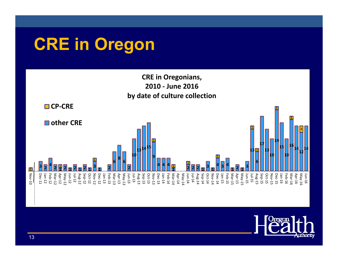# **CRE in Oregon**



13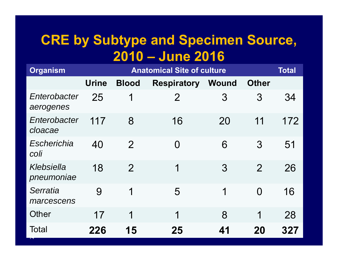#### **CRE by Subtype and Specimen Source, 2010 – June 2016**

| <b>Organism</b>           |              |                | <b>Anatomical Site of culture</b> |              |                | <b>Total</b> |
|---------------------------|--------------|----------------|-----------------------------------|--------------|----------------|--------------|
|                           | <b>Urine</b> | <b>Blood</b>   | <b>Respiratory</b>                | <b>Wound</b> | <b>Other</b>   |              |
| Enterobacter<br>aerogenes | 25           | $\mathbf 1$    | $\overline{2}$                    | 3            | 3              | 34           |
| Enterobacter<br>cloacae   | 117          | 8              | 16                                | 20           | 11             | 172          |
| Escherichia<br>coli       | 40           | $\overline{2}$ | $\Omega$                          | 6            | 3              | 51           |
| Klebsiella<br>pneumoniae  | 18           | $\overline{2}$ | 1                                 | 3            | $\overline{2}$ | 26           |
| Serratia<br>marcescens    | 9            | 1              | 5                                 | 1            | $\Omega$       | 16           |
| <b>Other</b>              | 17           | 1              | 1                                 | 8            | 1              | 28           |
| <b>Total</b>              | 226          | 15             | 25                                | 41           | 20             | 327          |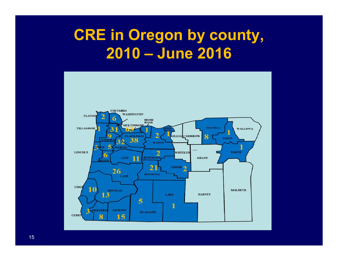### **CRE in Oregon by county, 2010 – June 2016**



15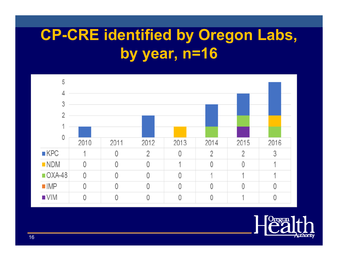# **CP-CRE identified by Oregon Labs, by year, n=16**



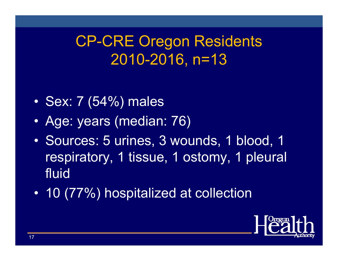### CP-CRE Oregon Residents 2010-2016, n=13

- •Sex: 7 (54%) males
- •Age: years (median: 76)
- $\bullet$  Sources: 5 urines, 3 wounds, 1 blood, 1 respiratory, 1 tissue, 1 ostomy, 1 pleural fluid
- $\bullet$ 10 (77%) hospitalized at collection

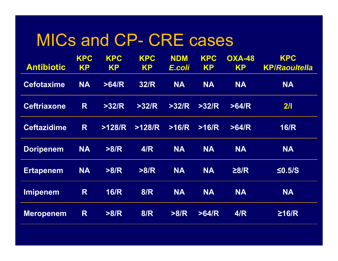### MICs and CP- CRE cases

| <b>Antibiotic</b>  | <b>KPC</b><br><b>KP</b> | <b>KPC</b><br><b>KP</b> | <b>KPC</b><br><b>KP</b> | <b>NDM</b><br>E.coli | <b>KPC</b><br><b>KP</b> | <b>OXA-48</b><br><b>KP</b> | <b>KPC</b><br><b>KP/Raoultella</b> |
|--------------------|-------------------------|-------------------------|-------------------------|----------------------|-------------------------|----------------------------|------------------------------------|
| <b>Cefotaxime</b>  | <b>NA</b>               | >64/R                   | <b>32/R</b>             | <b>NA</b>            | <b>NA</b>               | <b>NA</b>                  | <b>NA</b>                          |
| <b>Ceftriaxone</b> | R                       | >32/R                   | >32/R                   | >32/R                | >32/R                   | >64/R                      | 2/1                                |
| <b>Ceftazidime</b> | R                       | >128/R                  | >128/R                  | >16/R                | >16/R                   | >64/R                      | <b>16/R</b>                        |
| <b>Doripenem</b>   | <b>NA</b>               | >8/R                    | 4/R                     | <b>NA</b>            | <b>NA</b>               | <b>NA</b>                  | <b>NA</b>                          |
| <b>Ertapenem</b>   | <b>NA</b>               | >8/R                    | >8/R                    | <b>NA</b>            | <b>NA</b>               | $\geq 8/R$                 | $\leq$ 0.5/S                       |
| <b>Imipenem</b>    | R                       | <b>16/R</b>             | 8/R                     | <b>NA</b>            | <b>NA</b>               | <b>NA</b>                  | <b>NA</b>                          |
| <b>Meropenem</b>   | R                       | >8/R                    | <b>8/R</b>              | >8/R                 | >64/R                   | 4/R                        | $\geq$ 16/R                        |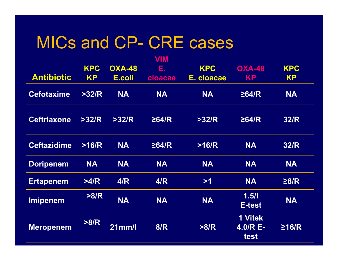### MICs and CP- CRE cases

| <b>Antibiotic</b>  | <b>KPC</b><br><b>KP</b> | <b>OXA-48</b><br>E.coli | VIM<br>Е.<br>cloacae | <b>KPC</b><br>E. cloacae | <b>OXA-48</b><br><b>KP</b>                  | <b>KPC</b><br><b>KP</b> |
|--------------------|-------------------------|-------------------------|----------------------|--------------------------|---------------------------------------------|-------------------------|
| <b>Cefotaxime</b>  | >32/R                   | <b>NA</b>               | <b>NA</b>            | <b>NA</b>                | $\geq$ 64/R                                 | <b>NA</b>               |
| <b>Ceftriaxone</b> | >32/R                   | >32/R                   | $\geq$ 64/R          | >32/R                    | $\geq$ 64/R                                 | <b>32/R</b>             |
| <b>Ceftazidime</b> | >16/R                   | <b>NA</b>               | $\geq$ 64/R          | >16/R                    | <b>NA</b>                                   | <b>32/R</b>             |
| <b>Doripenem</b>   | <b>NA</b>               | <b>NA</b>               | <b>NA</b>            | <b>NA</b>                | <b>NA</b>                                   | <b>NA</b>               |
| <b>Ertapenem</b>   | >4/R                    | 4/R                     | 4/R                  | >1                       | <b>NA</b>                                   | $\geq 8/R$              |
| <b>Imipenem</b>    | >8/R                    | <b>NA</b>               | <b>NA</b>            | <b>NA</b>                | 1.5/1<br>E-test                             | <b>NA</b>               |
| <b>Meropenem</b>   | >8/R                    | 21mm/l                  | 8/R                  | >8/R                     | <b>1 Vitek</b><br>$4.0/R E-$<br><b>test</b> | $\geq$ 16/R             |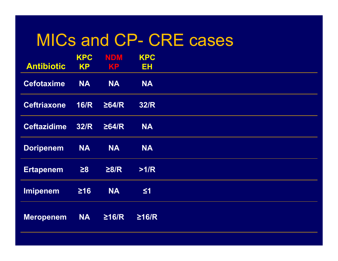### MICs and CP- CRE cases

|                    | <b>KPC</b>  | <b>NDM</b>  | <b>KPC</b>  |
|--------------------|-------------|-------------|-------------|
| <b>Antibiotic</b>  | <b>KP</b>   | KP          | <b>EH</b>   |
| <b>Cefotaxime</b>  | <b>NA</b>   | <b>NA</b>   | <b>NA</b>   |
| <b>Ceftriaxone</b> | <b>16/R</b> | $\geq$ 64/R | <b>32/R</b> |
| <b>Ceftazidime</b> | <b>32/R</b> | $\geq$ 64/R | <b>NA</b>   |
| <b>Doripenem</b>   | <b>NA</b>   | <b>NA</b>   | <b>NA</b>   |
| <b>Ertapenem</b>   | $\geq 8$    | $\geq 8/R$  | >1/R        |
| <b>Imipenem</b>    | $\geq 16$   | <b>NA</b>   | $\leq 1$    |
| <b>Meropenem</b>   | <b>NA</b>   | $\geq$ 16/R | $\geq$ 16/R |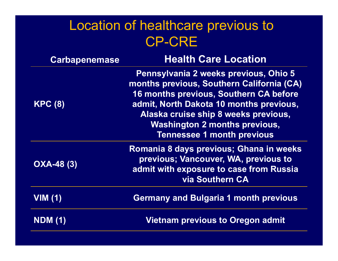#### Location of healthcare previous to CP-CRE

| <b>Carbapenemase</b> | <b>Health Care Location</b>                                                                                                                                                                                                                                                                  |
|----------------------|----------------------------------------------------------------------------------------------------------------------------------------------------------------------------------------------------------------------------------------------------------------------------------------------|
| <b>KPC (8)</b>       | Pennsylvania 2 weeks previous, Ohio 5<br>months previous, Southern California (CA)<br>16 months previous, Southern CA before<br>admit, North Dakota 10 months previous,<br>Alaska cruise ship 8 weeks previous,<br><b>Washington 2 months previous,</b><br><b>Tennessee 1 month previous</b> |
| <b>OXA-48 (3)</b>    | Romania 8 days previous; Ghana in weeks<br>previous; Vancouver, WA, previous to<br>admit with exposure to case from Russia<br><b>via Southern CA</b>                                                                                                                                         |
| VIM(1)               | <b>Germany and Bulgaria 1 month previous</b>                                                                                                                                                                                                                                                 |
| <b>NDM (1)</b>       | <b>Vietnam previous to Oregon admit</b>                                                                                                                                                                                                                                                      |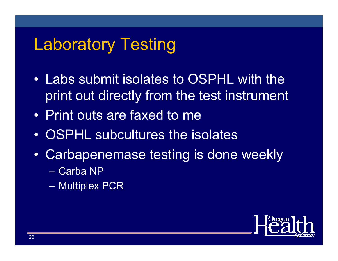# Laboratory Testing

- Labs submit isolates to OSPHL with the print out directly from the test instrument
- Print outs are faxed to me
- OSPHL subcultures the isolates
- • Carbapenemase testing is done weekly
	- Carba NP
	- Multiplex PCR

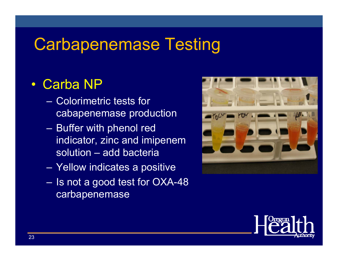# Carbapenemase Testing

#### • Carba NP

- Colorimetric tests for cabapenemase production
- Buffer with phenol red indicator, zinc and imipenem solution – add bacteria
- Yellow indicates a positive
- Is not a good test for OXA-48 carbapenemase



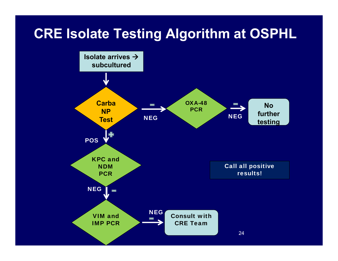#### **CRE Isolate Testing Algorithm at OSPHL**

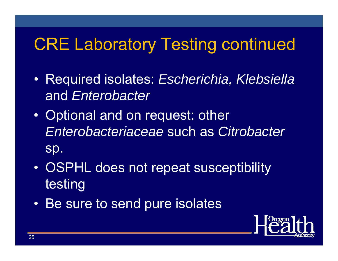# CRE Laboratory Testing continued

- Required isolates: *Escherichia, Klebsiella* and *Enterobacter*
- $\bullet$  Optional and on request: other *Enterobacteriaceae* such as *Citrobacter* sp.
- • OSPHL does not repeat susceptibility testing
- Be sure to send pure isolates

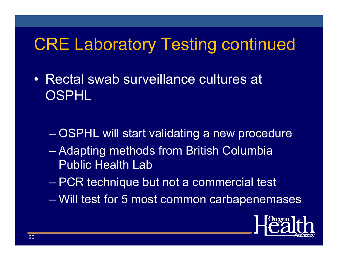# CRE Laboratory Testing continued

- Rectal swab surveillance cultures at OSPHL
	- OSPHL will start validating a new procedure
	- Adapting methods from British Columbia Public Health Lab
	- PCR technique but not a commercial test
	- Will test for 5 most common carbapenemases

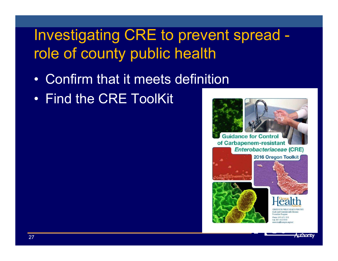# Investigating CRE to prevent spread role of county public health

- Confirm that it meets definition
- Find the CRE ToolKit

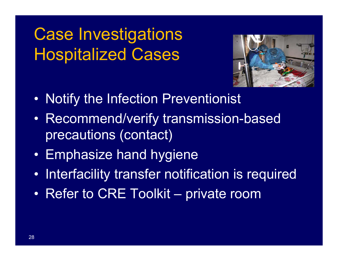# Case Investigations Hospitalized Cases



- •Notify the Infection Preventionist
- • Recommend/verify transmission-based precautions (contact)
- Emphasize hand hygiene
- •Interfacility transfer notification is required
- •Refer to CRE Toolkit – private room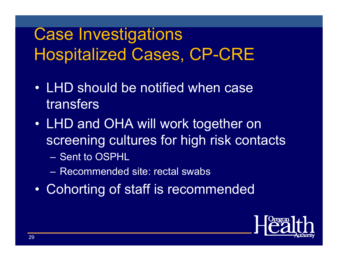# Case Investigations Hospitalized Cases, CP-CRE

- LHD should be notified when case transfers
- • LHD and OHA will work together on screening cultures for high risk contacts
	- Sent to OSPHL
	- Recommended site: rectal swabs
- •Cohorting of staff is recommended

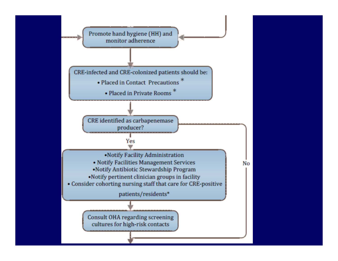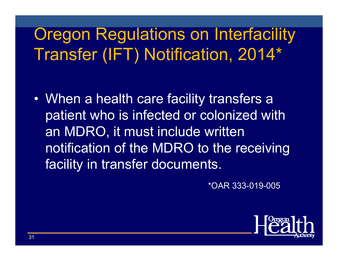# **Oregon Regulations on Interfacility** Transfer (IFT) Notification, 2014\*

• When a health care facility transfers a patient who is infected or colonized with an MDRO, it must include written notification of the MDRO to the receiving facility in transfer documents.

\*OAR 333-019-005

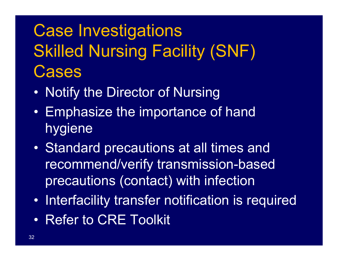# Case Investigations Skilled Nursing Facility (SNF) **Cases**

- •Notify the Director of Nursing
- $\bullet$  Emphasize the importance of hand hygiene
- • Standard precautions at all times and recommend/verify transmission-based precautions (contact) with infection
- $\bullet$ Interfacility transfer notification is required
- Refer to CRE Toolkit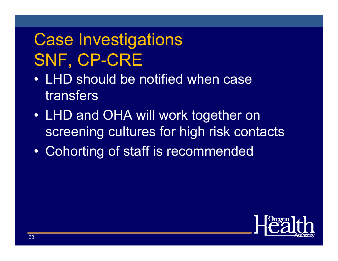# Case Investigations SNF, CP-CRE

- LHD should be notified when case transfers
- $\bullet$  LHD and OHA will work together on screening cultures for high risk contacts
- $\bullet$ Cohorting of staff is recommended

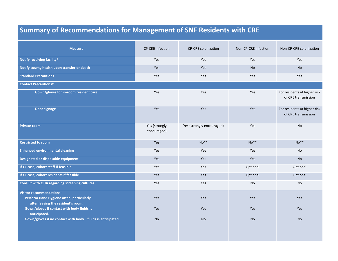#### **Summary of Recommendations for Management of SNF Residents with CRE**

| <b>Measure</b>                                                                                                                                                                                                                                | CP-CRE infection             | <b>CP-CRE colonization</b>     | Non-CP-CRE infection           | Non-CP-CRE colonization                             |
|-----------------------------------------------------------------------------------------------------------------------------------------------------------------------------------------------------------------------------------------------|------------------------------|--------------------------------|--------------------------------|-----------------------------------------------------|
| Notify receiving facility*                                                                                                                                                                                                                    | Yes                          | Yes                            | Yes                            | Yes                                                 |
| Notify county health upon transfer or death                                                                                                                                                                                                   | Yes                          | Yes                            | <b>No</b>                      | <b>No</b>                                           |
| <b>Standard Precautions</b>                                                                                                                                                                                                                   | Yes                          | <b>Yes</b>                     | Yes                            | <b>Yes</b>                                          |
| <b>Contact Precautionst</b>                                                                                                                                                                                                                   |                              |                                |                                |                                                     |
| Gown/gloves for in-room resident care                                                                                                                                                                                                         | Yes                          | <b>Yes</b>                     | Yes                            | For residents at higher risk<br>of CRE transmission |
| Door signage                                                                                                                                                                                                                                  | Yes                          | Yes                            | Yes                            | For residents at higher risk<br>of CRE transmission |
| <b>Private room</b>                                                                                                                                                                                                                           | Yes (strongly<br>encouraged) | Yes (strongly encouraged)      | Yes                            | <b>No</b>                                           |
| <b>Restricted to room</b>                                                                                                                                                                                                                     | Yes                          | $No**$                         | $No**$                         | $No**$                                              |
| <b>Enhanced environmental cleaning</b>                                                                                                                                                                                                        | Yes                          | Yes                            | Yes                            | No                                                  |
| Designated or disposable equipment                                                                                                                                                                                                            | Yes                          | Yes                            | Yes                            | <b>No</b>                                           |
| If >1 case, cohort staff if feasible                                                                                                                                                                                                          | Yes                          | Yes                            | Optional                       | Optional                                            |
| If >1 case, cohort residents if feasible                                                                                                                                                                                                      | Yes                          | Yes                            | Optional                       | Optional                                            |
| <b>Consult with OHA regarding screening cultures</b>                                                                                                                                                                                          | Yes                          | Yes                            | No                             | No                                                  |
| <b>Visitor recommendations:</b><br>Perform Hand Hygiene often, particularly<br>after leaving the resident's room.<br>Gown/gloves if contact with body fluids is<br>anticipated.<br>Gown/gloves if no contact with body fluids is anticipated. | Yes<br>Yes<br><b>No</b>      | <b>Yes</b><br>Yes<br><b>No</b> | <b>Yes</b><br>Yes<br><b>No</b> | <b>Yes</b><br>Yes<br><b>No</b>                      |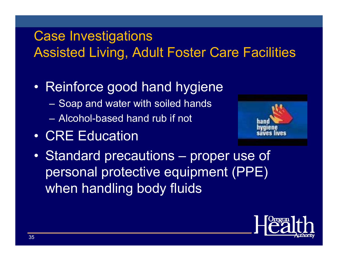#### Case Investigations Assisted Living, Adult Foster Care Facilities

- • Reinforce good hand hygiene
	- –Soap and water with soiled hands
	- Alcohol-based hand rub if not
- CRE Education



• Standard precautions – proper use of personal protective equipment (PPE) when handling body fluids

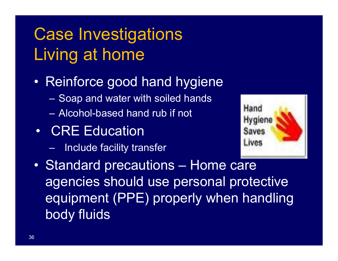# Case Investigations Living at home

- • Reinforce good hand hygiene
	- –Soap and water with soiled hands
	- Alcohol-based hand rub if not
- CRE Education
	- Include facility transfer



 $\bullet$  Standard precautions – Home care agencies should use personal protective equipment (PPE) properly when handling body fluids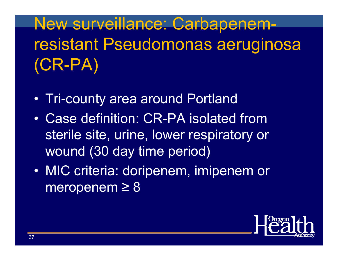# New surveillance: Carbapenemresistant Pseudomonas aeruginosa (CR-PA)

- Tri-county area around Portland
- Case definition: CR-PA isolated from sterile site, urine, lower respiratory or wound (30 day time period)
- $\bullet$  MIC criteria: doripenem, imipenem or meropenem ≥ 8

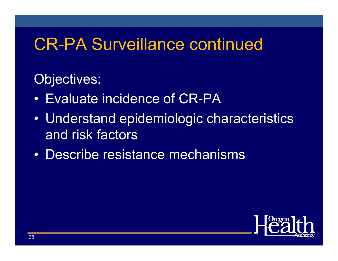# CR-PA Surveillance continued

#### Objectives:

- Evaluate incidence of CR-PA
- Understand epidemiologic characteristics and risk factors
- Describe resistance mechanisms

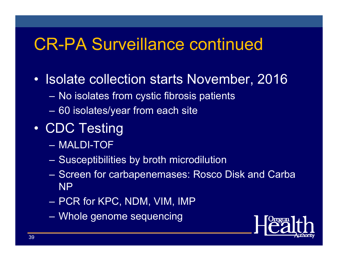# CR-PA Surveillance continued

- Isolate collection starts November, 2016
	- –No isolates from cystic fibrosis patients
	- –60 isolates/year from each site
- $\bullet$  CDC Testing
	- MALDI-TOF
	- Susceptibilities by broth microdilution
	- Screen for carbapenemases: Rosco Disk and Carba NP
	- PCR for KPC, NDM, VIM, IMP
	- Whole genome sequencing